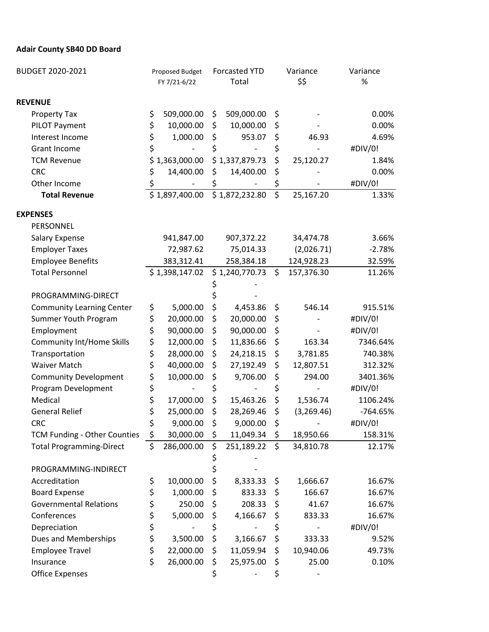## **Adair County SB40 DD Board**

| BUDGET 2020-2021                 | Proposed Budget |                | <b>Forcasted YTD</b> |                            | Variance         |            | Variance |
|----------------------------------|-----------------|----------------|----------------------|----------------------------|------------------|------------|----------|
|                                  |                 | FY 7/21-6/22   |                      | Total                      |                  | \$\$       | $\%$     |
| <b>REVENUE</b>                   |                 |                |                      |                            |                  |            |          |
| <b>Property Tax</b>              | \$              | 509,000.00     | \$                   | 509,000.00                 | \$               |            | 0.00%    |
| PILOT Payment                    | \$              | 10,000.00      | \$                   | 10,000.00                  | \$               |            | 0.00%    |
| Interest Income                  | \$              | 1,000.00       | \$                   | 953.07                     | \$               | 46.93      | 4.69%    |
| <b>Grant Income</b>              | \$              |                | \$                   |                            | \$               |            | #DIV/0!  |
| <b>TCM Revenue</b>               |                 | \$1,363,000.00 |                      | \$1,337,879.73             | \$               | 25,120.27  | 1.84%    |
| <b>CRC</b>                       | \$              | 14,400.00      | \$                   | 14,400.00                  | \$               |            | 0.00%    |
| Other Income                     | \$              |                | \$                   |                            | \$               |            | #DIV/0!  |
| <b>Total Revenue</b>             |                 | \$1,897,400.00 |                      | $\overline{$}1,872,232.80$ | $\overline{\xi}$ | 25,167.20  | 1.33%    |
| <b>EXPENSES</b>                  |                 |                |                      |                            |                  |            |          |
| PERSONNEL                        |                 |                |                      |                            |                  |            |          |
| <b>Salary Expense</b>            |                 | 941,847.00     |                      | 907,372.22                 |                  | 34,474.78  | 3.66%    |
| <b>Employer Taxes</b>            |                 | 72,987.62      |                      | 75,014.33                  |                  | (2,026.71) | $-2.78%$ |
| <b>Employee Benefits</b>         |                 | 383,312.41     |                      | 258,384.18                 |                  | 124,928.23 | 32.59%   |
| <b>Total Personnel</b>           |                 | \$1,398,147.02 |                      | \$1,240,770.73             | \$               | 157,376.30 | 11.26%   |
|                                  |                 |                |                      |                            |                  |            |          |
| PROGRAMMING-DIRECT               |                 |                |                      |                            |                  |            |          |
| <b>Community Learning Center</b> | \$              | 5,000.00       | \$                   | 4,453.86                   | \$               | 546.14     | 915.51%  |
| Summer Youth Program             | \$              | 20,000.00      | \$                   | 20,000.00                  | \$               |            | #DIV/0!  |
| Employment                       | \$              | 90,000.00      | \$                   | 90,000.00                  | \$               |            | #DIV/0!  |
| <b>Community Int/Home Skills</b> | \$              | 12,000.00      | \$                   | 11,836.66                  | \$               | 163.34     | 7346.64% |
| Transportation                   | \$              | 28,000.00      | \$                   | 24,218.15                  | \$               | 3,781.85   | 740.38%  |
| <b>Waiver Match</b>              | \$              | 40,000.00      | \$                   | 27,192.49                  | \$               | 12,807.51  | 312.32%  |
| <b>Community Development</b>     | \$              | 10,000.00      | \$                   | 9,706.00                   | \$               | 294.00     | 3401.36% |
| Program Development              | \$              |                | \$                   |                            | \$               |            | #DIV/0!  |
| Medical                          | \$              | 17,000.00      | \$                   | 15,463.26                  | \$               | 1,536.74   | 1106.24% |
| <b>General Relief</b>            | \$              | 25,000.00      | \$                   | 28,269.46                  | \$               | (3,269.46) | -764.65% |
| <b>CRC</b>                       | \$              | 9,000.00       | \$                   | 9,000.00                   | \$               |            | #DIV/0!  |
| TCM Funding - Other Counties     | \$              | 30,000.00      | \$                   | 11,049.34                  | \$               | 18,950.66  | 158.31%  |
| <b>Total Programming-Direct</b>  | \$              | 286,000.00     | \$                   | 251,189.22                 | \$               | 34,810.78  | 12.17%   |
|                                  |                 |                |                      |                            |                  |            |          |
| PROGRAMMING-INDIRECT             |                 |                |                      |                            |                  |            |          |
| Accreditation                    | \$              | 10,000.00      | \$                   | 8,333.33                   | \$               | 1,666.67   | 16.67%   |
| <b>Board Expense</b>             | \$              | 1,000.00       | \$                   | 833.33                     | \$               | 166.67     | 16.67%   |
| <b>Governmental Relations</b>    | \$              | 250.00         | \$                   | 208.33                     | Ş                | 41.67      | 16.67%   |
| Conferences                      | \$              | 5,000.00       | \$                   | 4,166.67                   | \$               | 833.33     | 16.67%   |
| Depreciation                     | \$              |                | \$                   |                            | \$               |            | #DIV/0!  |
| <b>Dues and Memberships</b>      | \$              | 3,500.00       | \$                   | 3,166.67                   | \$               | 333.33     | 9.52%    |
| <b>Employee Travel</b>           | \$              | 22,000.00      | \$                   | 11,059.94                  | \$               | 10,940.06  | 49.73%   |
| Insurance                        | \$              | 26,000.00      | \$                   | 25,975.00                  | \$               | 25.00      | 0.10%    |
| <b>Office Expenses</b>           |                 |                | \$                   |                            | \$               |            |          |